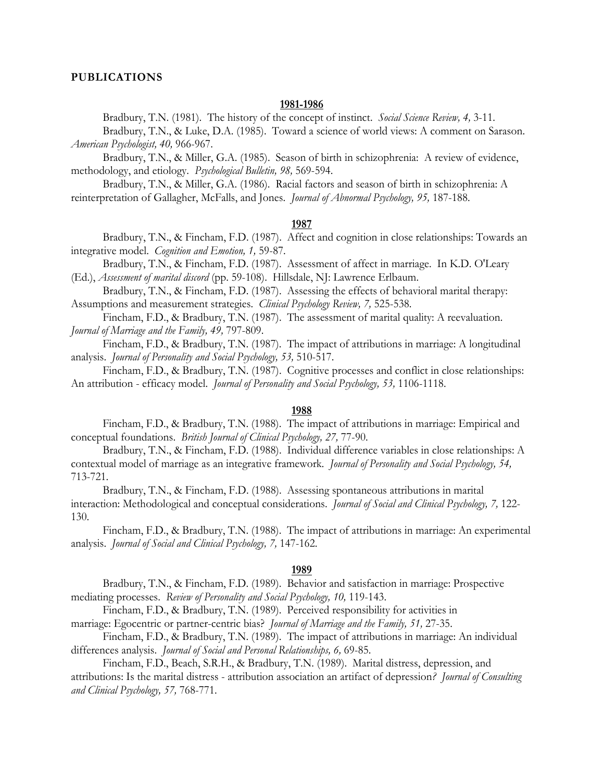#### **PUBLICATIONS**

#### **1981-1986**

Bradbury, T.N. (1981). The history of the concept of instinct. *Social Science Review, 4,* 3-11.

 Bradbury, T.N., & Luke, D.A. (1985). Toward a science of world views: A comment on Sarason. *American Psychologist, 40,* 966-967.

 Bradbury, T.N., & Miller, G.A. (1985). Season of birth in schizophrenia: A review of evidence, methodology, and etiology. *Psychological Bulletin, 98,* 569-594.

 Bradbury, T.N., & Miller, G.A. (1986). Racial factors and season of birth in schizophrenia: A reinterpretation of Gallagher, McFalls, and Jones. *Journal of Abnormal Psychology, 95,* 187-188.

### **1987**

 Bradbury, T.N., & Fincham, F.D. (1987). Affect and cognition in close relationships: Towards an integrative model. *Cognition and Emotion, 1,* 59-87.

 Bradbury, T.N., & Fincham, F.D. (1987). Assessment of affect in marriage. In K.D. O'Leary (Ed.), *Assessment of marital discord* (pp. 59-108). Hillsdale, NJ: Lawrence Erlbaum.

 Bradbury, T.N., & Fincham, F.D. (1987). Assessing the effects of behavioral marital therapy: Assumptions and measurement strategies. *Clinical Psychology Review, 7,* 525-538.

 Fincham, F.D., & Bradbury, T.N. (1987). The assessment of marital quality: A reevaluation. *Journal of Marriage and the Family, 49,* 797-809.

 Fincham, F.D., & Bradbury, T.N. (1987). The impact of attributions in marriage: A longitudinal analysis. *Journal of Personality and Social Psychology, 53,* 510-517.

 Fincham, F.D., & Bradbury, T.N. (1987). Cognitive processes and conflict in close relationships: An attribution - efficacy model. *Journal of Personality and Social Psychology, 53,* 1106-1118.

## **1988**

 Fincham, F.D., & Bradbury, T.N. (1988). The impact of attributions in marriage: Empirical and conceptual foundations. *British Journal of Clinical Psychology, 27,* 77-90.

 Bradbury, T.N., & Fincham, F.D. (1988). Individual difference variables in close relationships: A contextual model of marriage as an integrative framework*. Journal of Personality and Social Psychology, 54,* 713-721.

 Bradbury, T.N., & Fincham, F.D. (1988). Assessing spontaneous attributions in marital interaction: Methodological and conceptual considerations. *Journal of Social and Clinical Psychology, 7,* 122- 130.

 Fincham, F.D., & Bradbury, T.N. (1988). The impact of attributions in marriage: An experimental analysis. *Journal of Social and Clinical Psychology, 7,* 147-162.

#### **1989**

 Bradbury, T.N., & Fincham, F.D. (1989). Behavior and satisfaction in marriage: Prospective mediating processes. *Review of Personality and Social Psychology, 10,* 119-143.

 Fincham, F.D., & Bradbury, T.N. (1989). Perceived responsibility for activities in marriage: Egocentric or partner-centric bias? *Journal of Marriage and the Family, 51,* 27-35.

 Fincham, F.D., & Bradbury, T.N. (1989). The impact of attributions in marriage: An individual differences analysis. *Journal of Social and Personal Relationships, 6,* 69-85.

 Fincham, F.D., Beach, S.R.H., & Bradbury, T.N. (1989). Marital distress, depression, and attributions: Is the marital distress - attribution association an artifact of depression*? Journal of Consulting and Clinical Psychology, 57,* 768-771.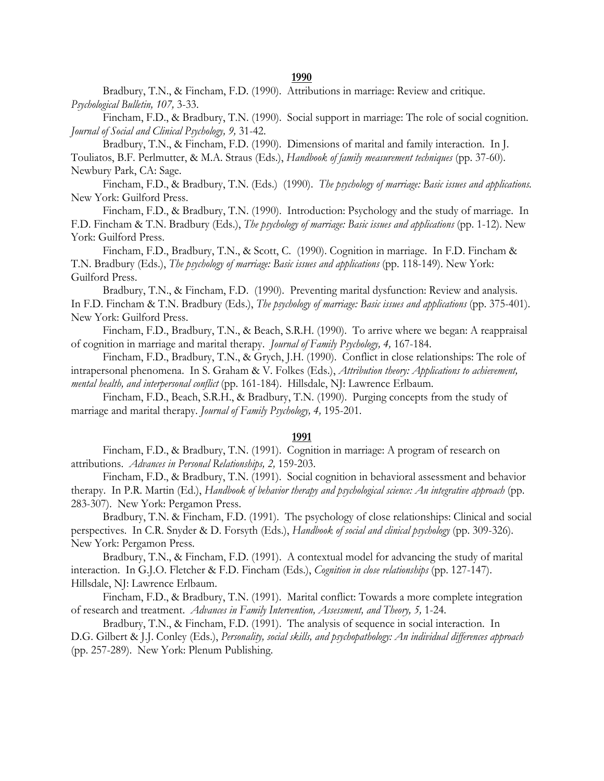#### **1990**

 Bradbury, T.N., & Fincham, F.D. (1990). Attributions in marriage: Review and critique. *Psychological Bulletin, 107,* 3-33.

 Fincham, F.D., & Bradbury, T.N. (1990). Social support in marriage: The role of social cognition. *Journal of Social and Clinical Psychology, 9,* 31-42.

 Bradbury, T.N., & Fincham, F.D. (1990). Dimensions of marital and family interaction. In J. Touliatos, B.F. Perlmutter, & M.A. Straus (Eds.), *Handbook of family measurement techniques* (pp. 37-60). Newbury Park, CA: Sage.

 Fincham, F.D., & Bradbury, T.N. (Eds.) (1990). *The psychology of marriage: Basic issues and applications.* New York: Guilford Press.

 Fincham, F.D., & Bradbury, T.N. (1990). Introduction: Psychology and the study of marriage. In F.D. Fincham & T.N. Bradbury (Eds.), *The psychology of marriage: Basic issues and applications* (pp. 1-12). New York: Guilford Press.

 Fincham, F.D., Bradbury, T.N., & Scott, C. (1990). Cognition in marriage. In F.D. Fincham & T.N. Bradbury (Eds.), *The psychology of marriage: Basic issues and applications* (pp. 118-149). New York: Guilford Press.

 Bradbury, T.N., & Fincham, F.D. (1990). Preventing marital dysfunction: Review and analysis. In F.D. Fincham & T.N. Bradbury (Eds.), *The psychology of marriage: Basic issues and applications* (pp. 375-401). New York: Guilford Press.

 Fincham, F.D., Bradbury, T.N., & Beach, S.R.H. (1990). To arrive where we began: A reappraisal of cognition in marriage and marital therapy. *Journal of Family Psychology, 4,* 167-184.

 Fincham, F.D., Bradbury, T.N., & Grych, J.H. (1990). Conflict in close relationships: The role of intrapersonal phenomena. In S. Graham & V. Folkes (Eds.), *Attribution theory: Applications to achievement, mental health, and interpersonal conflict* (pp. 161-184). Hillsdale, NJ: Lawrence Erlbaum.

 Fincham, F.D., Beach, S.R.H., & Bradbury, T.N. (1990). Purging concepts from the study of marriage and marital therapy. *Journal of Family Psychology, 4,* 195-201.

#### **1991**

 Fincham, F.D., & Bradbury, T.N. (1991). Cognition in marriage: A program of research on attributions. *Advances in Personal Relationships, 2,* 159-203.

 Fincham, F.D., & Bradbury, T.N. (1991). Social cognition in behavioral assessment and behavior therapy. In P.R. Martin (Ed.), *Handbook of behavior therapy and psychological science: An integrative approach* (pp. 283-307). New York: Pergamon Press.

 Bradbury, T.N. & Fincham, F.D. (1991). The psychology of close relationships: Clinical and social perspectives. In C.R. Snyder & D. Forsyth (Eds.), *Handbook of social and clinical psychology* (pp. 309-326). New York: Pergamon Press.

 Bradbury, T.N., & Fincham, F.D. (1991). A contextual model for advancing the study of marital interaction. In G.J.O. Fletcher & F.D. Fincham (Eds.), *Cognition in close relationships* (pp. 127-147). Hillsdale, NJ: Lawrence Erlbaum.

 Fincham, F.D., & Bradbury, T.N. (1991). Marital conflict: Towards a more complete integration of research and treatment. *Advances in Family Intervention, Assessment, and Theory, 5,* 1-24.

 Bradbury, T.N., & Fincham, F.D. (1991). The analysis of sequence in social interaction. In D.G. Gilbert & J.J. Conley (Eds.), *Personality, social skills, and psychopathology: An individual differences approach* (pp. 257-289). New York: Plenum Publishing.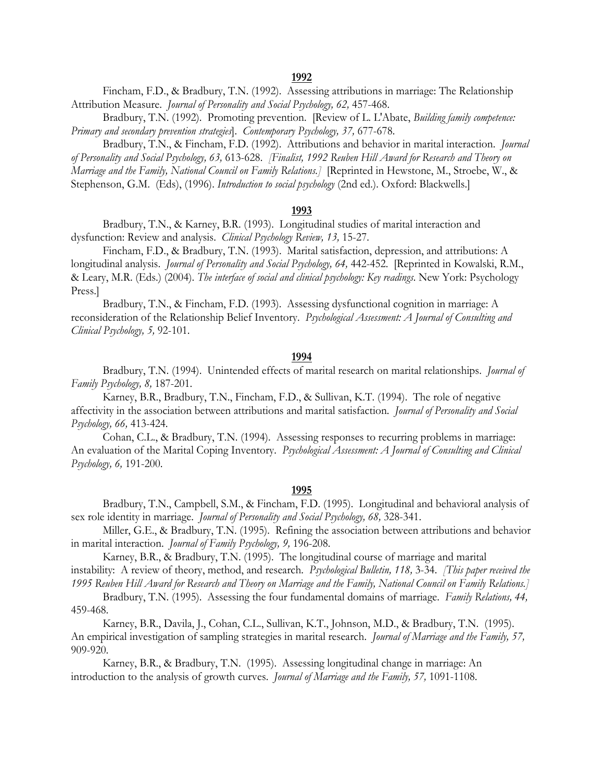Fincham, F.D., & Bradbury, T.N. (1992). Assessing attributions in marriage: The Relationship Attribution Measure. *Journal of Personality and Social Psychology, 62,* 457-468.

 Bradbury, T.N. (1992). Promoting prevention. [Review of L. L'Abate, *Building family competence: Primary and secondary prevention strategies*]. *Contemporary Psychology, 37,* 677-678.

 Bradbury, T.N., & Fincham, F.D. (1992). Attributions and behavior in marital interaction. *Journal of Personality and Social Psychology, 63,* 613-628. *[Finalist, 1992 Reuben Hill Award for Research and Theory on Marriage and the Family, National Council on Family Relations.]* [Reprinted in Hewstone, M., Stroebe, W., & Stephenson, G.M. (Eds), (1996). *Introduction to social psychology* (2nd ed.). Oxford: Blackwells.]

#### **1993**

 Bradbury, T.N., & Karney, B.R. (1993). Longitudinal studies of marital interaction and dysfunction: Review and analysis. *Clinical Psychology Review, 13,* 15-27.

 Fincham, F.D., & Bradbury, T.N. (1993). Marital satisfaction, depression, and attributions: A longitudinal analysis. *Journal of Personality and Social Psychology, 64,* 442-452. [Reprinted in Kowalski, R.M., & Leary, M.R. (Eds.) (2004). *The interface of social and clinical psychology: Key readings*. New York: Psychology Press.]

 Bradbury, T.N., & Fincham, F.D. (1993). Assessing dysfunctional cognition in marriage: A reconsideration of the Relationship Belief Inventory. *Psychological Assessment: A Journal of Consulting and Clinical Psychology, 5,* 92-101.

## **1994**

 Bradbury, T.N. (1994). Unintended effects of marital research on marital relationships. *Journal of Family Psychology, 8,* 187-201.

 Karney, B.R., Bradbury, T.N., Fincham, F.D., & Sullivan, K.T. (1994). The role of negative affectivity in the association between attributions and marital satisfaction. *Journal of Personality and Social Psychology, 66,* 413-424.

 Cohan, C.L., & Bradbury, T.N. (1994). Assessing responses to recurring problems in marriage: An evaluation of the Marital Coping Inventory. *Psychological Assessment: A Journal of Consulting and Clinical Psychology, 6,* 191-200.

## **1995**

 Bradbury, T.N., Campbell, S.M., & Fincham, F.D. (1995). Longitudinal and behavioral analysis of sex role identity in marriage. *Journal of Personality and Social Psychology, 68,* 328-341.

 Miller, G.E., & Bradbury, T.N. (1995). Refining the association between attributions and behavior in marital interaction. *Journal of Family Psychology, 9,* 196-208.

 Karney, B.R., & Bradbury, T.N. (1995). The longitudinal course of marriage and marital instability: A review of theory, method, and research. *Psychological Bulletin, 118,* 3-34. *[This paper received the 1995 Reuben Hill Award for Research and Theory on Marriage and the Family, National Council on Family Relations.]*

 Bradbury, T.N. (1995). Assessing the four fundamental domains of marriage. *Family Relations, 44,* 459-468.

 Karney, B.R., Davila, J., Cohan, C.L., Sullivan, K.T., Johnson, M.D., & Bradbury, T.N. (1995). An empirical investigation of sampling strategies in marital research. *Journal of Marriage and the Family, 57,* 909-920.

 Karney, B.R., & Bradbury, T.N. (1995). Assessing longitudinal change in marriage: An introduction to the analysis of growth curves. *Journal of Marriage and the Family, 57,* 1091-1108.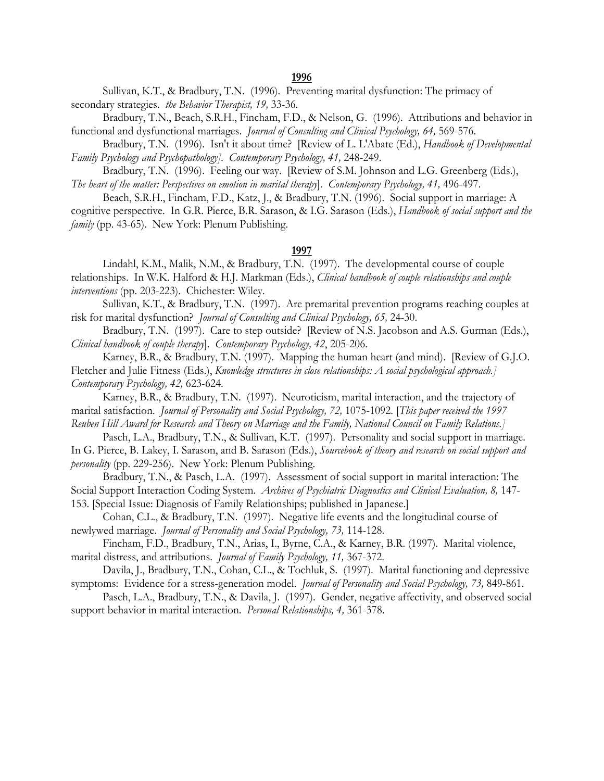Sullivan, K.T., & Bradbury, T.N. (1996). Preventing marital dysfunction: The primacy of secondary strategies. *the Behavior Therapist, 19,* 33-36.

 Bradbury, T.N., Beach, S.R.H., Fincham, F.D., & Nelson, G. (1996). Attributions and behavior in functional and dysfunctional marriages. *Journal of Consulting and Clinical Psychology, 64,* 569-576.

 Bradbury, T.N. (1996). Isn't it about time? [Review of L. L'Abate (Ed.), *Handbook of Developmental Family Psychology and Psychopathology]. Contemporary Psychology, 41,* 248-249.

 Bradbury, T.N. (1996). Feeling our way. [Review of S.M. Johnson and L.G. Greenberg (Eds.), *The heart of the matter: Perspectives on emotion in marital therapy*]. *Contemporary Psychology, 41,* 496-497.

 Beach, S.R.H., Fincham, F.D., Katz, J., & Bradbury, T.N. (1996). Social support in marriage: A cognitive perspective. In G.R. Pierce, B.R. Sarason, & I.G. Sarason (Eds.), *Handbook of social support and the family* (pp. 43-65). New York: Plenum Publishing.

## **1997**

 Lindahl, K.M., Malik, N.M., & Bradbury, T.N. (1997). The developmental course of couple relationships. In W.K. Halford & H.J. Markman (Eds.), *Clinical handbook of couple relationships and couple interventions* (pp. 203-223). Chichester: Wiley.

 Sullivan, K.T., & Bradbury, T.N. (1997). Are premarital prevention programs reaching couples at risk for marital dysfunction? *Journal of Consulting and Clinical Psychology, 65,* 24-30.

Bradbury, T.N. (1997). Care to step outside? [Review of N.S. Jacobson and A.S. Gurman (Eds.), *Clinical handbook of couple therapy*]. *Contemporary Psychology, 42*, 205-206.

 Karney, B.R., & Bradbury, T.N. (1997). Mapping the human heart (and mind). [Review of G.J.O. Fletcher and Julie Fitness (Eds.), *Knowledge structures in close relationships: A social psychological approach.] Contemporary Psychology, 42,* 623-624.

 Karney, B.R., & Bradbury, T.N. (1997). Neuroticism, marital interaction, and the trajectory of marital satisfaction. *Journal of Personality and Social Psychology, 72,* 1075-1092. [*This paper received the 1997 Reuben Hill Award for Research and Theory on Marriage and the Family, National Council on Family Relations.]*

 Pasch, L.A., Bradbury, T.N., & Sullivan, K.T. (1997). Personality and social support in marriage. In G. Pierce, B. Lakey, I. Sarason, and B. Sarason (Eds.), *Sourcebook of theory and research on social support and personality* (pp. 229-256). New York: Plenum Publishing.

 Bradbury, T.N., & Pasch, L.A. (1997). Assessment of social support in marital interaction: The Social Support Interaction Coding System. *Archives of Psychiatric Diagnostics and Clinical Evaluation*, 8, 147-153. [Special Issue: Diagnosis of Family Relationships; published in Japanese.]

 Cohan, C.L., & Bradbury, T.N. (1997). Negative life events and the longitudinal course of newlywed marriage. *Journal of Personality and Social Psychology, 73,* 114-128.

 Fincham, F.D., Bradbury, T.N., Arias, I., Byrne, C.A., & Karney, B.R. (1997). Marital violence, marital distress, and attributions. *Journal of Family Psychology, 11,* 367-372.

 Davila, J., Bradbury, T.N., Cohan, C.L., & Tochluk, S. (1997). Marital functioning and depressive symptoms: Evidence for a stress-generation model. *Journal of Personality and Social Psychology, 73,* 849-861.

 Pasch, L.A., Bradbury, T.N., & Davila, J. (1997). Gender, negative affectivity, and observed social support behavior in marital interaction. *Personal Relationships, 4,* 361-378.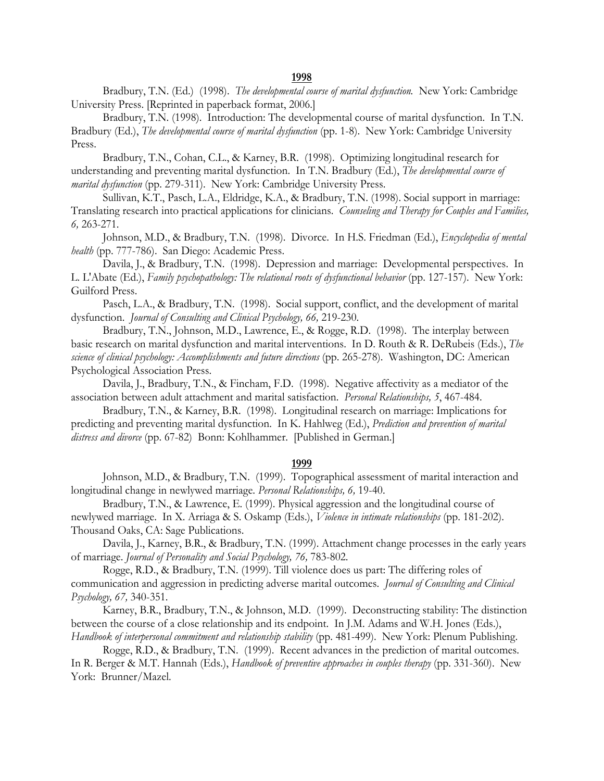Bradbury, T.N. (Ed.) (1998). *The developmental course of marital dysfunction.* New York: Cambridge University Press. [Reprinted in paperback format, 2006.]

 Bradbury, T.N. (1998). Introduction: The developmental course of marital dysfunction. In T.N. Bradbury (Ed.), *The developmental course of marital dysfunction* (pp. 1-8). New York: Cambridge University Press.

 Bradbury, T.N., Cohan, C.L., & Karney, B.R. (1998). Optimizing longitudinal research for understanding and preventing marital dysfunction. In T.N. Bradbury (Ed.), *The developmental course of marital dysfunction* (pp. 279-311). New York: Cambridge University Press.

 Sullivan, K.T., Pasch, L.A., Eldridge, K.A., & Bradbury, T.N. (1998). Social support in marriage: Translating research into practical applications for clinicians. *Counseling and Therapy for Couples and Families, 6,* 263-271.

 Johnson, M.D., & Bradbury, T.N. (1998). Divorce. In H.S. Friedman (Ed.), *Encyclopedia of mental health* (pp. 777-786). San Diego: Academic Press.

 Davila, J., & Bradbury, T.N. (1998). Depression and marriage: Developmental perspectives. In L. L'Abate (Ed.), *Family psychopathology: The relational roots of dysfunctional behavior* (pp. 127-157). New York: Guilford Press.

 Pasch, L.A., & Bradbury, T.N. (1998). Social support, conflict, and the development of marital dysfunction. *Journal of Consulting and Clinical Psychology, 66,* 219-230.

 Bradbury, T.N., Johnson, M.D., Lawrence, E., & Rogge, R.D. (1998). The interplay between basic research on marital dysfunction and marital interventions. In D. Routh & R. DeRubeis (Eds.), *The science of clinical psychology: Accomplishments and future directions* (pp. 265-278). Washington, DC: American Psychological Association Press.

 Davila, J., Bradbury, T.N., & Fincham, F.D. (1998). Negative affectivity as a mediator of the association between adult attachment and marital satisfaction. *Personal Relationships, 5*, 467-484.

 Bradbury, T.N., & Karney, B.R. (1998). Longitudinal research on marriage: Implications for predicting and preventing marital dysfunction. In K. Hahlweg (Ed.), *Prediction and prevention of marital distress and divorce* (pp. 67-82) Bonn: Kohlhammer. [Published in German.]

#### **1999**

Johnson, M.D., & Bradbury, T.N. (1999). Topographical assessment of marital interaction and longitudinal change in newlywed marriage. *Personal Relationships, 6,* 19-40.

 Bradbury, T.N., & Lawrence, E. (1999). Physical aggression and the longitudinal course of newlywed marriage. In X. Arriaga & S. Oskamp (Eds.), *Violence in intimate relationships* (pp. 181-202). Thousand Oaks, CA: Sage Publications.

 Davila, J., Karney, B.R., & Bradbury, T.N. (1999). Attachment change processes in the early years of marriage. *Journal of Personality and Social Psychology, 76,* 783-802.

 Rogge, R.D., & Bradbury, T.N. (1999). Till violence does us part: The differing roles of communication and aggression in predicting adverse marital outcomes. *Journal of Consulting and Clinical Psychology, 67,* 340-351.

 Karney, B.R., Bradbury, T.N., & Johnson, M.D. (1999). Deconstructing stability: The distinction between the course of a close relationship and its endpoint. In J.M. Adams and W.H. Jones (Eds.), *Handbook of interpersonal commitment and relationship stability* (pp. 481-499). New York: Plenum Publishing.

 Rogge, R.D., & Bradbury, T.N. (1999). Recent advances in the prediction of marital outcomes. In R. Berger & M.T. Hannah (Eds.), *Handbook of preventive approaches in couples therapy* (pp. 331-360). New York: Brunner/Mazel.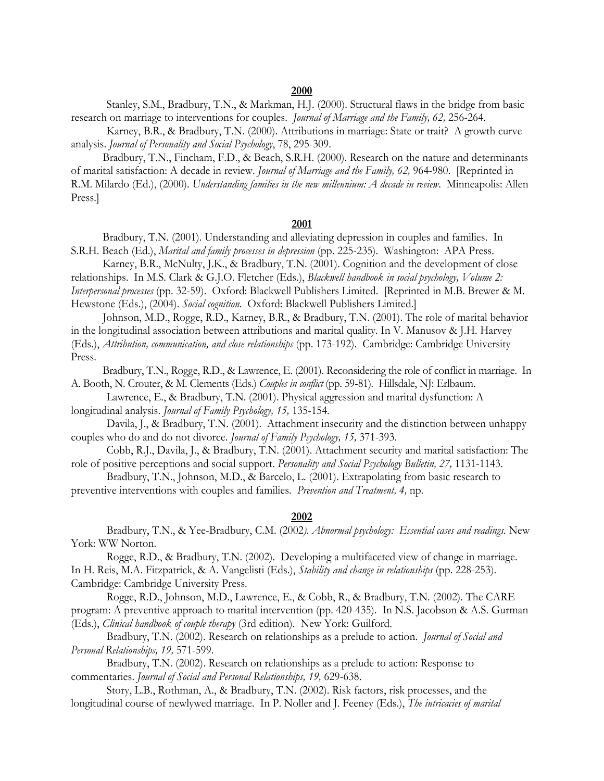Stanley, S.M., Bradbury, T.N., & Markman, H.J. (2000). Structural flaws in the bridge from basic research on marriage to interventions for couples. *Journal of Marriage and the Family, 62,* 256-264.

Karney, B.R., & Bradbury, T.N. (2000). Attributions in marriage: State or trait? A growth curve analysis. *Journal of Personality and Social Psychology*, 78, 295-309.

 Bradbury, T.N., Fincham, F.D., & Beach, S.R.H. (2000). Research on the nature and determinants of marital satisfaction: A decade in review. *Journal of Marriage and the Family, 62,* 964-980. [Reprinted in R.M. Milardo (Ed.), (2000). *Understanding families in the new millennium: A decade in review*. Minneapolis: Allen Press.]

## **2001**

 Bradbury, T.N. (2001). Understanding and alleviating depression in couples and families. In S.R.H. Beach (Ed.), *Marital and family processes in depression* (pp. 225-235). Washington: APA Press.

 Karney, B.R., McNulty, J.K., & Bradbury, T.N. (2001). Cognition and the development of close relationships. In M.S. Clark & G.J.O. Fletcher (Eds.), *Blackwell handbook in social psychology, Volume 2: Interpersonal processes* (pp. 32-59). Oxford: Blackwell Publishers Limited. [Reprinted in M.B. Brewer & M. Hewstone (Eds.), (2004). *Social cognition.* Oxford: Blackwell Publishers Limited.]

 Johnson, M.D., Rogge, R.D., Karney, B.R., & Bradbury, T.N. (2001). The role of marital behavior in the longitudinal association between attributions and marital quality. In V. Manusov & J.H. Harvey (Eds.), *Attribution, communication, and close relationships* (pp. 173-192). Cambridge: Cambridge University

Press.

 Bradbury, T.N., Rogge, R.D., & Lawrence, E. (2001). Reconsidering the role of conflict in marriage. In A. Booth, N. Crouter, & M. Clements (Eds.) *Couples in conflict* (pp. 59-81)*.* Hillsdale, NJ: Erlbaum.

 Lawrence, E., & Bradbury, T.N. (2001). Physical aggression and marital dysfunction: A longitudinal analysis. *Journal of Family Psychology, 15,* 135-154*.*

Davila, J., & Bradbury, T.N. (2001). Attachment insecurity and the distinction between unhappy couples who do and do not divorce. *Journal of Family Psychology, 15,* 371-393.

Cobb, R.J., Davila, J., & Bradbury, T.N. (2001). Attachment security and marital satisfaction: The role of positive perceptions and social support. *Personality and Social Psychology Bulletin, 27,* 1131-1143.

Bradbury, T.N., Johnson, M.D., & Barcelo, L. (2001). Extrapolating from basic research to preventive interventions with couples and families. *Prevention and Treatment, 4,* np.

#### **2002**

 Bradbury, T.N., & Yee-Bradbury, C.M. (2002*). Abnormal psychology: Essential cases and readings.* New York: WW Norton.

Rogge, R.D., & Bradbury, T.N. (2002). Developing a multifaceted view of change in marriage. In H. Reis, M.A. Fitzpatrick, & A. Vangelisti (Eds.), *Stability and change in relationships* (pp. 228-253). Cambridge: Cambridge University Press.

Rogge, R.D., Johnson, M.D., Lawrence, E., & Cobb, R., & Bradbury, T.N. (2002). The CARE program: A preventive approach to marital intervention (pp. 420-435). In N.S. Jacobson & A.S. Gurman (Eds.), *Clinical handbook of couple therapy* (3rd edition). New York: Guilford.

 Bradbury, T.N. (2002). Research on relationships as a prelude to action. *Journal of Social and Personal Relationships, 19,* 571-599.

Bradbury, T.N. (2002). Research on relationships as a prelude to action: Response to commentaries. *Journal of Social and Personal Relationships, 19,* 629-638.

Story, L.B., Rothman, A., & Bradbury, T.N. (2002). Risk factors, risk processes, and the longitudinal course of newlywed marriage. In P. Noller and J. Feeney (Eds.), *The intricacies of marital*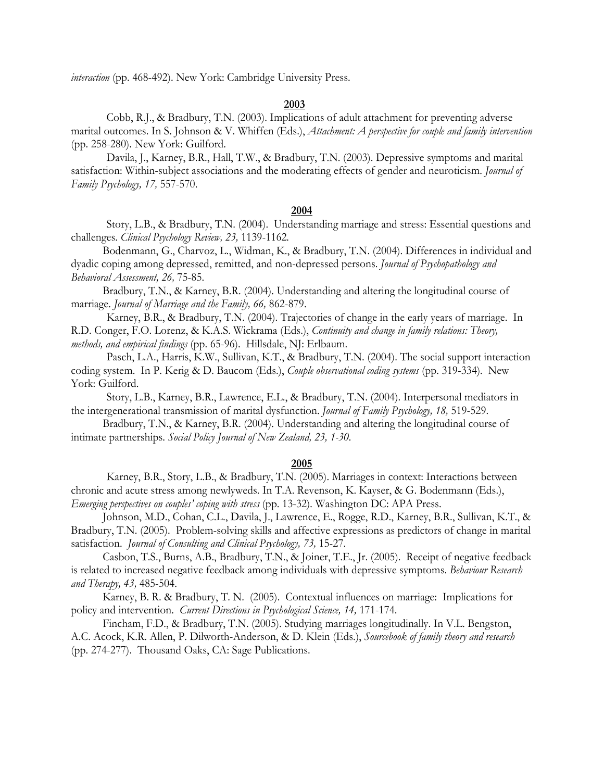*interaction* (pp. 468-492). New York: Cambridge University Press.

# **2003**

Cobb, R.J., & Bradbury, T.N. (2003). Implications of adult attachment for preventing adverse marital outcomes. In S. Johnson & V. Whiffen (Eds.), *Attachment: A perspective for couple and family intervention* (pp. 258-280). New York: Guilford.

Davila, J., Karney, B.R., Hall, T.W., & Bradbury, T.N. (2003). Depressive symptoms and marital satisfaction: Within-subject associations and the moderating effects of gender and neuroticism. *Journal of Family Psychology, 17,* 557-570.

## **2004**

Story, L.B., & Bradbury, T.N. (2004). Understanding marriage and stress: Essential questions and challenges. *Clinical Psychology Review, 23,* 1139-1162*.*

 Bodenmann, G., Charvoz, L., Widman, K., & Bradbury, T.N. (2004). Differences in individual and dyadic coping among depressed, remitted, and non-depressed persons. *Journal of Psychopathology and Behavioral Assessment, 26,* 75-85.

 Bradbury, T.N., & Karney, B.R. (2004). Understanding and altering the longitudinal course of marriage. *Journal of Marriage and the Family, 66,* 862-879.

 Karney, B.R., & Bradbury, T.N. (2004). Trajectories of change in the early years of marriage. In R.D. Conger, F.O. Lorenz, & K.A.S. Wickrama (Eds.), *Continuity and change in family relations: Theory, methods, and empirical findings* (pp. 65-96). Hillsdale, NJ: Erlbaum.

Pasch, L.A., Harris, K.W., Sullivan, K.T., & Bradbury, T.N. (2004). The social support interaction coding system. In P. Kerig & D. Baucom (Eds.), *Couple observational coding systems* (pp. 319-334)*.* New York: Guilford.

Story, L.B., Karney, B.R., Lawrence, E.L., & Bradbury, T.N. (2004). Interpersonal mediators in the intergenerational transmission of marital dysfunction. *Journal of Family Psychology, 18,* 519-529.

 Bradbury, T.N., & Karney, B.R. (2004). Understanding and altering the longitudinal course of intimate partnerships. *Social Policy Journal of New Zealand, 23, 1-30.*

## **2005**

Karney, B.R., Story, L.B., & Bradbury, T.N. (2005). Marriages in context: Interactions between chronic and acute stress among newlyweds. In T.A. Revenson, K. Kayser, & G. Bodenmann (Eds.), *Emerging perspectives on couples' coping with stress* (pp. 13-32)*.* Washington DC: APA Press.

 Johnson, M.D., Cohan, C.L., Davila, J., Lawrence, E., Rogge, R.D., Karney, B.R., Sullivan, K.T., & Bradbury, T.N. (2005). Problem-solving skills and affective expressions as predictors of change in marital satisfaction. *Journal of Consulting and Clinical Psychology, 73,* 15-27.

 Casbon, T.S., Burns, A.B., Bradbury, T.N., & Joiner, T.E., Jr. (2005). Receipt of negative feedback is related to increased negative feedback among individuals with depressive symptoms. *Behaviour Research and Therapy, 43,* 485-504.

 Karney, B. R. & Bradbury, T. N. (2005). Contextual influences on marriage: Implications for policy and intervention. *Current Directions in Psychological Science, 14,* 171-174.

 Fincham, F.D., & Bradbury, T.N. (2005). Studying marriages longitudinally. In V.L. Bengston, A.C. Acock, K.R. Allen, P. Dilworth-Anderson, & D. Klein (Eds.), *Sourcebook of family theory and research* (pp. 274-277). Thousand Oaks, CA: Sage Publications.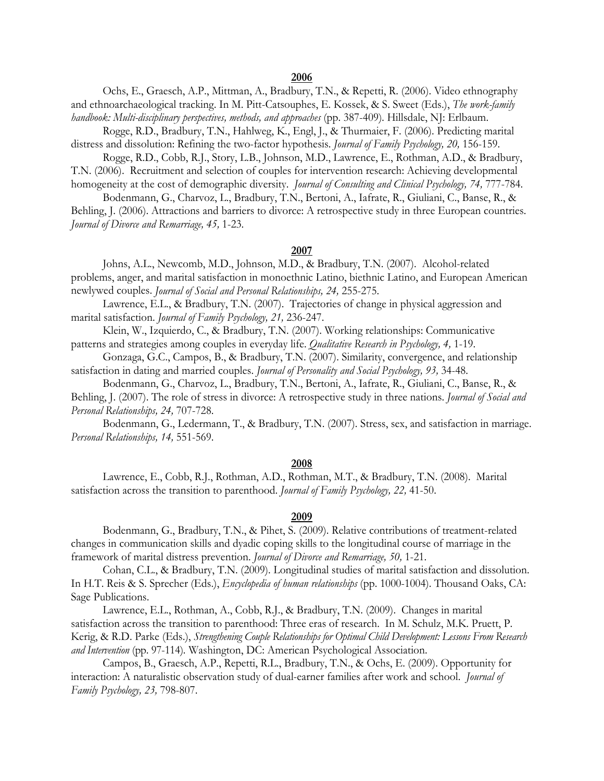## **2006**

 Ochs, E., Graesch, A.P., Mittman, A., Bradbury, T.N., & Repetti, R. (2006). Video ethnography and ethnoarchaeological tracking. In M. Pitt-Catsouphes, E. Kossek, & S. Sweet (Eds.), *The work-family handbook: Multi-disciplinary perspectives, methods, and approaches* (pp. 387-409)*.* Hillsdale, NJ: Erlbaum.

 Rogge, R.D., Bradbury, T.N., Hahlweg, K., Engl, J., & Thurmaier, F. (2006). Predicting marital distress and dissolution: Refining the two-factor hypothesis. *Journal of Family Psychology, 20,* 156-159.

 Rogge, R.D., Cobb, R.J., Story, L.B., Johnson, M.D., Lawrence, E., Rothman, A.D., & Bradbury, T.N. (2006). Recruitment and selection of couples for intervention research: Achieving developmental homogeneity at the cost of demographic diversity. *Journal of Consulting and Clinical Psychology, 74,* 777-784.

 Bodenmann, G., Charvoz, L., Bradbury, T.N., Bertoni, A., Iafrate, R., Giuliani, C., Banse, R., & Behling, J. (2006). Attractions and barriers to divorce: A retrospective study in three European countries. *Journal of Divorce and Remarriage, 45,* 1-23.

## **2007**

 Johns, A.L., Newcomb, M.D., Johnson, M.D., & Bradbury, T.N. (2007). Alcohol-related problems, anger, and marital satisfaction in monoethnic Latino, biethnic Latino, and European American newlywed couples. *Journal of Social and Personal Relationships, 24,* 255-275.

 Lawrence, E.L., & Bradbury, T.N. (2007). Trajectories of change in physical aggression and marital satisfaction. *Journal of Family Psychology, 21,* 236-247.

 Klein, W., Izquierdo, C., & Bradbury, T.N. (2007). Working relationships: Communicative patterns and strategies among couples in everyday life. *Qualitative Research in Psychology, 4,* 1-19.

 Gonzaga, G.C., Campos, B., & Bradbury, T.N. (2007). Similarity, convergence, and relationship satisfaction in dating and married couples. *Journal of Personality and Social Psychology, 93,* 34-48.

 Bodenmann, G., Charvoz, L., Bradbury, T.N., Bertoni, A., Iafrate, R., Giuliani, C., Banse, R., & Behling, J. (2007). The role of stress in divorce: A retrospective study in three nations. *Journal of Social and Personal Relationships, 24,* 707-728.

 Bodenmann, G., Ledermann, T., & Bradbury, T.N. (2007). Stress, sex, and satisfaction in marriage. *Personal Relationships, 14,* 551-569.

## **2008**

 Lawrence, E., Cobb, R.J., Rothman, A.D., Rothman, M.T., & Bradbury, T.N. (2008). Marital satisfaction across the transition to parenthood. *Journal of Family Psychology, 22,* 41-50.

#### **2009**

 Bodenmann, G., Bradbury, T.N., & Pihet, S. (2009). Relative contributions of treatment-related changes in communication skills and dyadic coping skills to the longitudinal course of marriage in the framework of marital distress prevention. *Journal of Divorce and Remarriage, 50,* 1-21.

Cohan, C.L., & Bradbury, T.N. (2009). Longitudinal studies of marital satisfaction and dissolution. In H.T. Reis & S. Sprecher (Eds.), *Encyclopedia of human relationships* (pp. 1000-1004). Thousand Oaks, CA: Sage Publications.

 Lawrence, E.L., Rothman, A., Cobb, R.J., & Bradbury, T.N. (2009). Changes in marital satisfaction across the transition to parenthood: Three eras of research. In M. Schulz, M.K. Pruett, P. Kerig, & R.D. Parke (Eds.), *Strengthening Couple Relationships for Optimal Child Development: Lessons From Research and Intervention* (pp. 97-114)*.* Washington, DC: American Psychological Association.

 Campos, B., Graesch, A.P., Repetti, R.L., Bradbury, T.N., & Ochs, E. (2009). Opportunity for interaction: A naturalistic observation study of dual-earner families after work and school. *Journal of Family Psychology, 23,* 798-807.